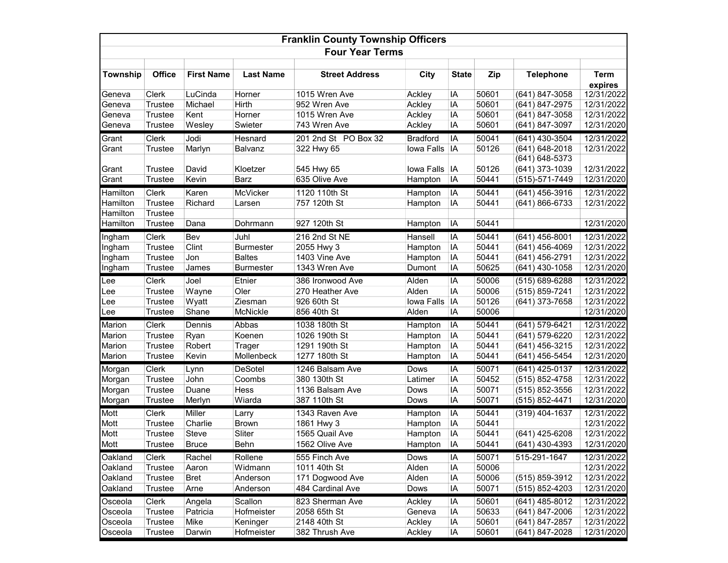| <b>Franklin County Township Officers</b> |                |                   |                       |                                     |                 |              |       |                  |                        |  |
|------------------------------------------|----------------|-------------------|-----------------------|-------------------------------------|-----------------|--------------|-------|------------------|------------------------|--|
| <b>Four Year Terms</b>                   |                |                   |                       |                                     |                 |              |       |                  |                        |  |
| Township                                 | <b>Office</b>  | <b>First Name</b> | <b>Last Name</b>      | <b>Street Address</b>               | City            | <b>State</b> | Zip   | <b>Telephone</b> | <b>Term</b><br>expires |  |
| Geneva                                   | Clerk          | LuCinda           | Horner                | 1015 Wren Ave                       | Ackley          | ΙA           | 50601 | (641) 847-3058   | 12/31/2022             |  |
| Geneva                                   | Trustee        | Michael           | Hirth                 | 952 Wren Ave                        | Ackley          | IA           | 50601 | (641) 847-2975   | 12/31/2022             |  |
| Geneva                                   | Trustee        | Kent              | Horner                | 1015 Wren Ave                       | Ackley          | IA           | 50601 | (641) 847-3058   | 12/31/2022             |  |
| Geneva                                   | Trustee        | Wesley            | Swieter               | 743 Wren Ave                        | Ackley          | ΙA           | 50601 | (641) 847-3097   | 12/31/2020             |  |
| Grant                                    | Clerk          | Jodi              | Hesnard               | 201 2nd St PO Box 32                | <b>Bradford</b> | IA           | 50041 | (641) 430-3504   | 12/31/2022             |  |
| Grant                                    | Trustee        | Marlyn            | Balvanz               | 322 Hwy 65                          | Iowa Falls      | IA           | 50126 | (641) 648-2018   | 12/31/2022             |  |
|                                          |                |                   |                       |                                     |                 |              |       | (641) 648-5373   |                        |  |
| Grant                                    | <b>Trustee</b> | David             | Kloetzer              | 545 Hwy 65                          | Iowa Falls      | IA           | 50126 | (641) 373-1039   | 12/31/2022             |  |
| Grant                                    | <b>Trustee</b> | Kevin             | <b>Barz</b>           | 635 Olive Ave                       | Hampton         | IA           | 50441 | (515)-571-7449   | 12/31/2020             |  |
| Hamilton                                 | Clerk          | Karen             | McVicker              | 1120 110th St                       | Hampton         | IA           | 50441 | (641) 456-3916   | 12/31/2022             |  |
| Hamilton                                 | Trustee        | Richard           | Larsen                | 757 120th St                        | Hampton         | ΙA           | 50441 | (641) 866-6733   | 12/31/2022             |  |
| Hamilton                                 | Trustee        |                   |                       |                                     |                 |              |       |                  |                        |  |
| Hamilton                                 | Trustee        | Dana              | Dohrmann              | 927 120th St                        | Hampton         | IA           | 50441 |                  | 12/31/2020             |  |
| Ingham                                   | Clerk          | Bev               | Juhl                  | 216 2nd St NE                       | Hansell         | IA           | 50441 | (641) 456-8001   | 12/31/2022             |  |
| Ingham                                   | Trustee        | Clint             | <b>Burmester</b>      | 2055 Hwy 3                          | Hampton         | IA           | 50441 | (641) 456-4069   | 12/31/2022             |  |
| Ingham                                   | Trustee        | Jon               | <b>Baltes</b>         | 1403 Vine Ave                       | Hampton         | IA           | 50441 | (641) 456-2791   | 12/31/2022             |  |
| Ingham                                   | <b>Trustee</b> | James             | <b>Burmester</b>      | 1343 Wren Ave                       | Dumont          | IA           | 50625 | (641) 430-1058   | 12/31/2020             |  |
| Lee                                      | Clerk          | Joel              | Etnier                | 386 Ironwood Ave                    | Alden           | IA           | 50006 | (515) 689-6288   | 12/31/2022             |  |
| Lee                                      | <b>Trustee</b> | Wayne             | Oler                  | 270 Heather Ave                     | Alden           | IA           | 50006 | (515) 859-7241   | 12/31/2022             |  |
| Lee                                      | Trustee        | Wyatt             | Ziesman               | 926 60th St                         | Iowa Falls      | IA           | 50126 | $(641)$ 373-7658 | 12/31/2022             |  |
| Lee                                      | Trustee        | Shane             | McNickle              | 856 40th St                         | Alden           | IA           | 50006 |                  | 12/31/2020             |  |
| Marion                                   | Clerk          | Dennis            | Abbas                 | 1038 180th St                       | Hampton         | IA           | 50441 | (641) 579-6421   | 12/31/2022             |  |
| Marion                                   | Trustee        | Ryan              | Koenen                | 1026 190th St                       | Hampton         | IA           | 50441 | (641) 579-6220   | 12/31/2022             |  |
| Marion                                   | Trustee        | Robert            | Trager                | 1291 190th St                       | Hampton         | ΙA           | 50441 | (641) 456-3215   | 12/31/2022             |  |
| Marion                                   | Trustee        | Kevin             | Mollenbeck            | 1277 180th St                       | Hampton         | IA           | 50441 | (641) 456-5454   | 12/31/2020             |  |
| Morgan                                   | Clerk          | Lynn              | <b>DeSotel</b>        | 1246 Balsam Ave                     | Dows            | IA           | 50071 | (641) 425-0137   | 12/31/2022             |  |
| Morgan                                   | Trustee        | John              | Coombs                | 380 130th St                        | Latimer         | IA           | 50452 | (515) 852-4758   | 12/31/2022             |  |
| Morgan                                   | Trustee        | Duane             | Hess                  | 1136 Balsam Ave                     | Dows            | IA           | 50071 | (515) 852-3556   | 12/31/2022             |  |
| Morgan                                   | Trustee        | Merlyn            | Wiarda                | 387 110th St                        | Dows            | IA           | 50071 | (515) 852-4471   | 12/31/2020             |  |
| Mott                                     | Clerk          | Miller            |                       | 1343 Raven Ave                      | Hampton         | IA           | 50441 | $(319)$ 404-1637 | 12/31/2022             |  |
| Mott                                     | Trustee        | Charlie           | Larry<br><b>Brown</b> | 1861 Hwy 3                          | Hampton         | IA           | 50441 |                  | 12/31/2022             |  |
| Mott                                     | <b>Trustee</b> | <b>Steve</b>      | Sliter                | 1565 Quail Ave                      | Hampton         | IA           | 50441 | (641) 425-6208   | 12/31/2022             |  |
| Mott                                     | Trustee        | <b>Bruce</b>      | Behn                  | 1562 Olive Ave                      | Hampton         | <b>IA</b>    | 50441 | (641) 430-4393   | 12/31/2020             |  |
|                                          |                |                   |                       |                                     |                 |              |       |                  |                        |  |
| Oakland                                  | Clerk          | Rachel            | Rollene               | 555 Finch Ave                       | Dows            | ΙA           | 50071 | 515-291-1647     | 12/31/2022             |  |
| Oakland                                  | Trustee        | Aaron             | Widmann               | 1011 40th St                        | Alden           | ΙA           | 50006 |                  | 12/31/2022             |  |
| Oakland                                  | Trustee        | Bret              | Anderson              | 171 Dogwood Ave<br>484 Cardinal Ave | Alden           | ΙA           | 50006 | (515) 859-3912   | 12/31/2022             |  |
| Oakland                                  | Trustee        | Arne              | Anderson              |                                     | Dows            | IA           | 50071 | (515) 852-4203   | 12/31/2020             |  |
| Osceola                                  | Clerk          | Angela            | Scallon               | 823 Sherman Ave                     | Ackley          | ΙA           | 50601 | (641) 485-8012   | 12/31/2022             |  |
| Osceola                                  | Trustee        | Patricia          | Hofmeister            | 2058 65th St                        | Geneva          | ΙA           | 50633 | (641) 847-2006   | 12/31/2022             |  |
| Osceola                                  | Trustee        | Mike              | Keninger              | 2148 40th St                        | Ackley          | IA           | 50601 | (641) 847-2857   | 12/31/2022             |  |
| Osceola                                  | Trustee        | Darwin            | Hofmeister            | 382 Thrush Ave                      | Ackley          | IA           | 50601 | (641) 847-2028   | 12/31/2020             |  |